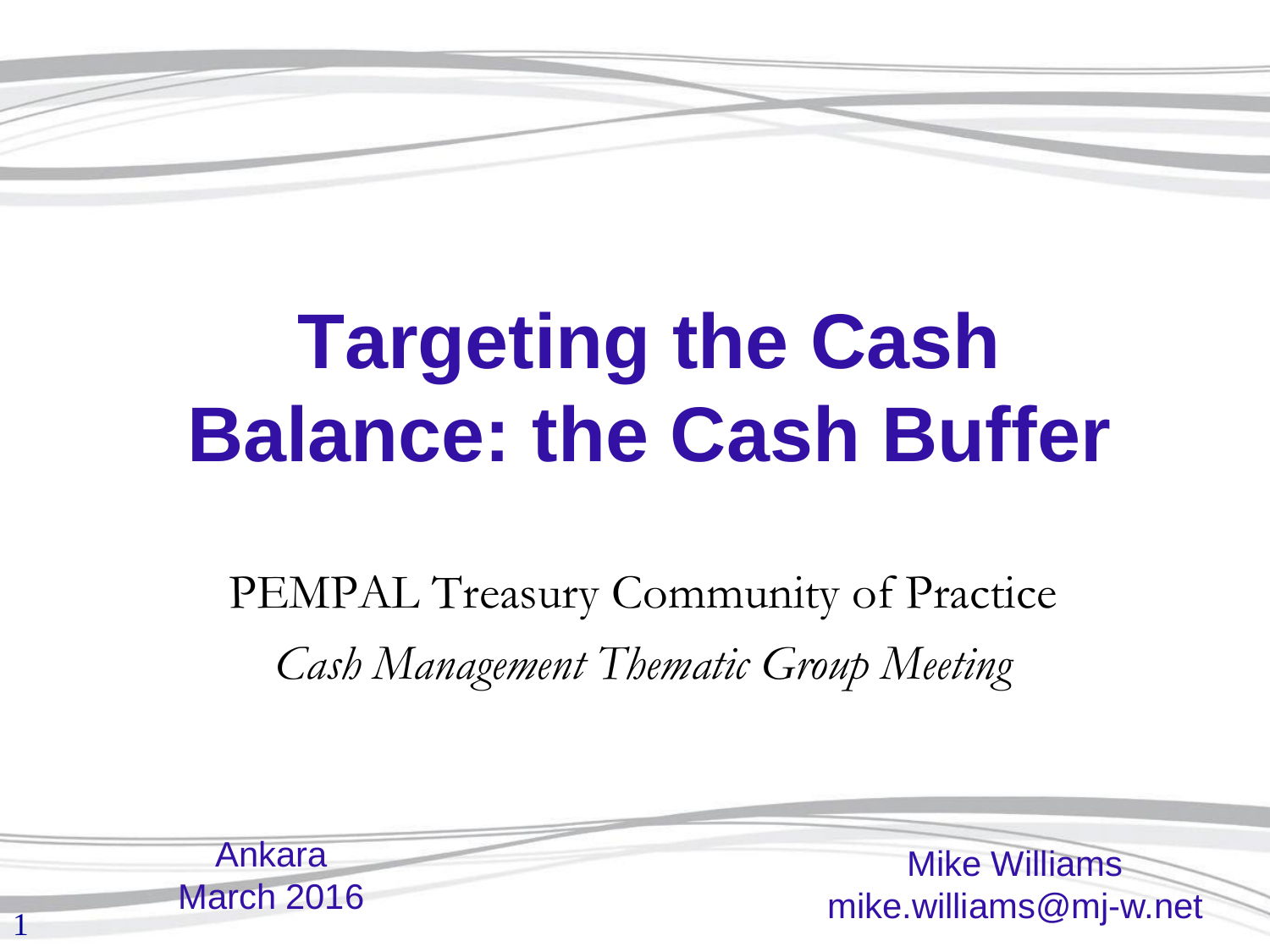# **Targeting the Cash Balance: the Cash Buffer**

PEMPAL Treasury Community of Practice *Cash Management Thematic Group Meeting*

1 Mike Williams mike.williams@mj-w.net Ankara March 2016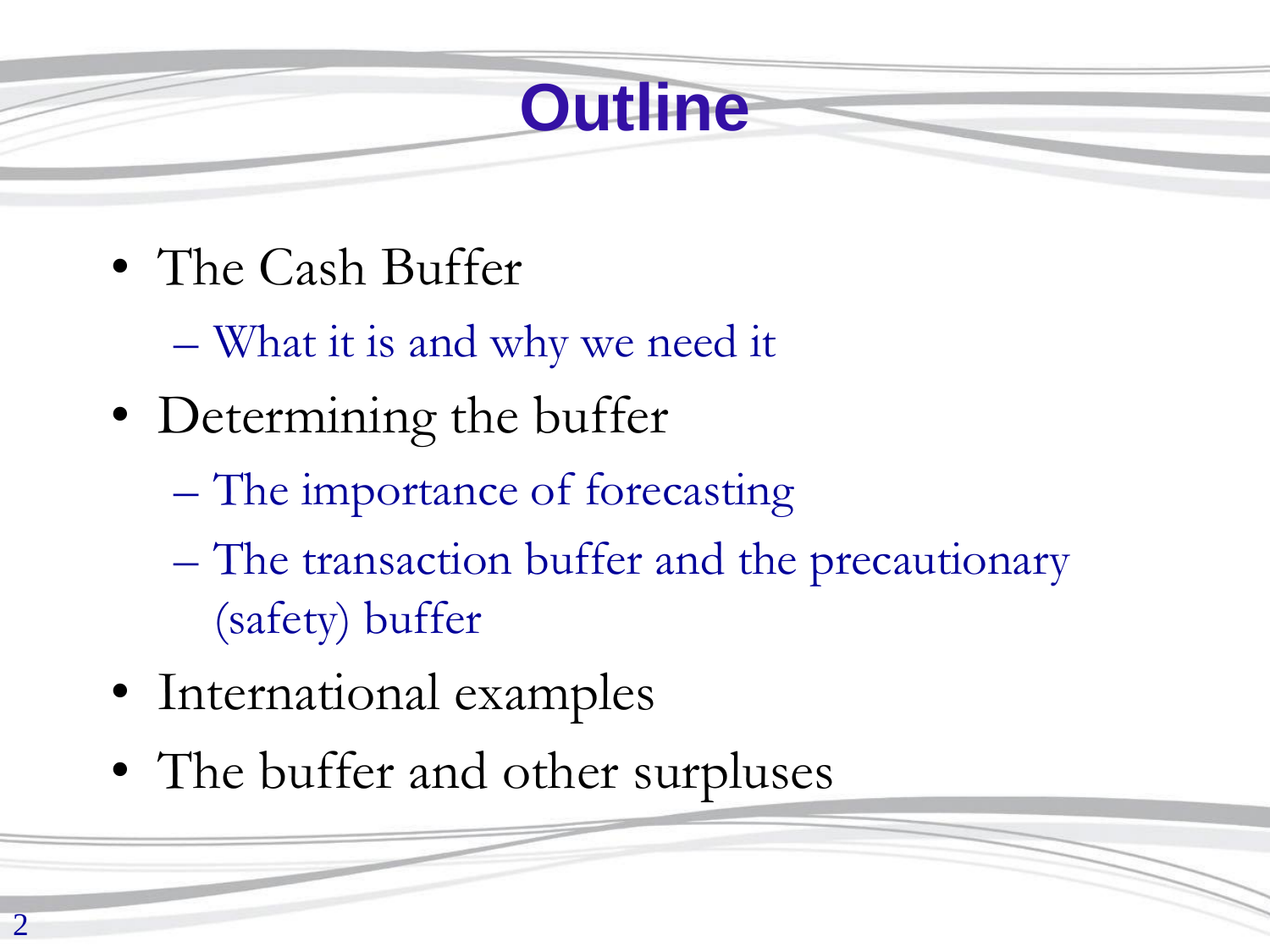## **Outline**

- The Cash Buffer
	- What it is and why we need it
- Determining the buffer
	- The importance of forecasting
	- The transaction buffer and the precautionary (safety) buffer
- International examples
- The buffer and other surpluses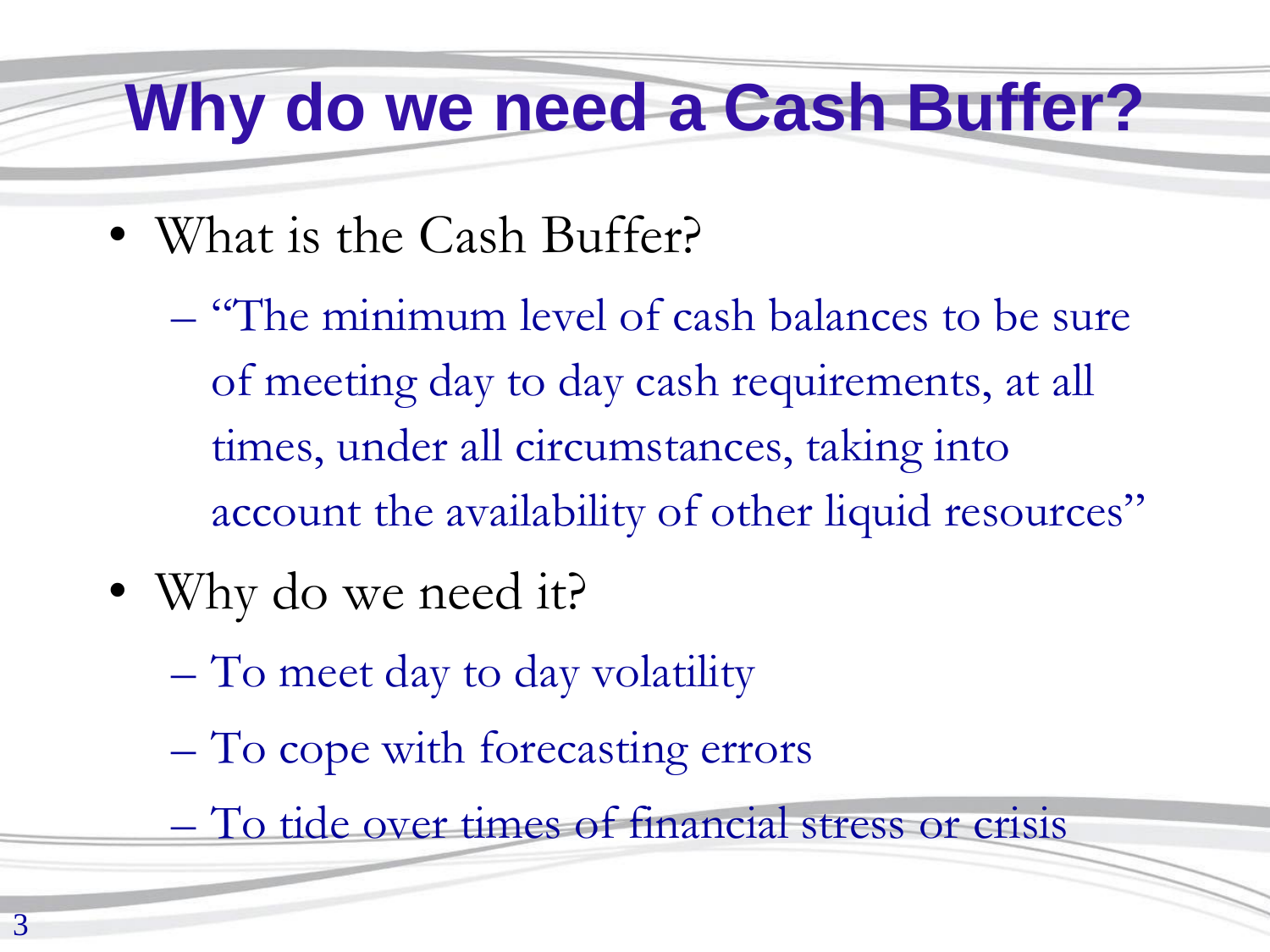#### **Why do we need a Cash Buffer?**

- What is the Cash Buffer?
	- "The minimum level of cash balances to be sure of meeting day to day cash requirements, at all times, under all circumstances, taking into account the availability of other liquid resources"
- Why do we need it?
	- To meet day to day volatility
	- To cope with forecasting errors
	- To tide over times of financial stress or crisis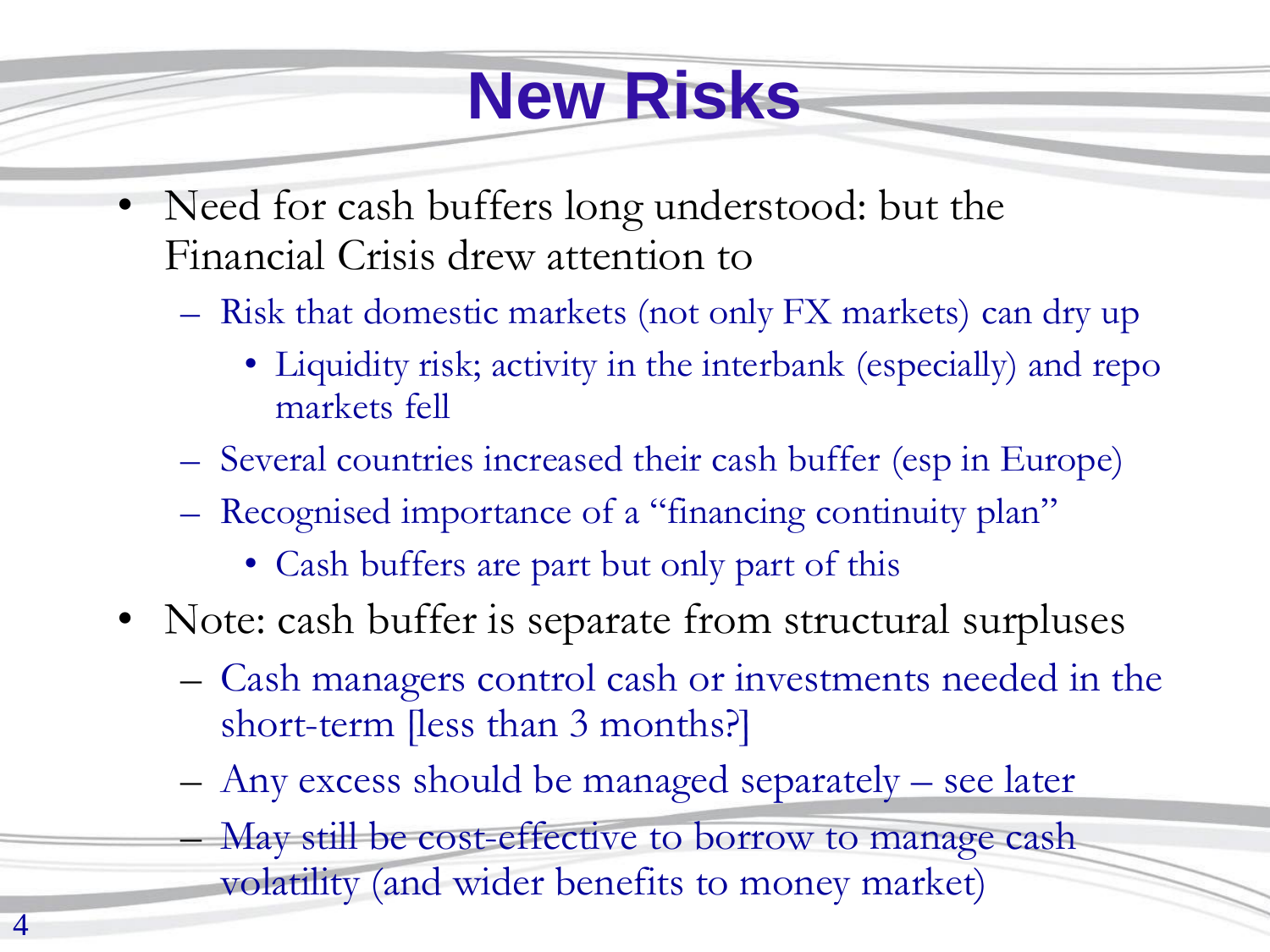## **New Risks**

- Need for cash buffers long understood: but the Financial Crisis drew attention to
	- Risk that domestic markets (not only FX markets) can dry up
		- Liquidity risk; activity in the interbank (especially) and repo markets fell
	- Several countries increased their cash buffer (esp in Europe)
	- Recognised importance of a "financing continuity plan"
		- Cash buffers are part but only part of this
- Note: cash buffer is separate from structural surpluses
	- Cash managers control cash or investments needed in the short-term [less than 3 months?]
	- Any excess should be managed separately see later
		- May still be cost-effective to borrow to manage cash volatility (and wider benefits to money market)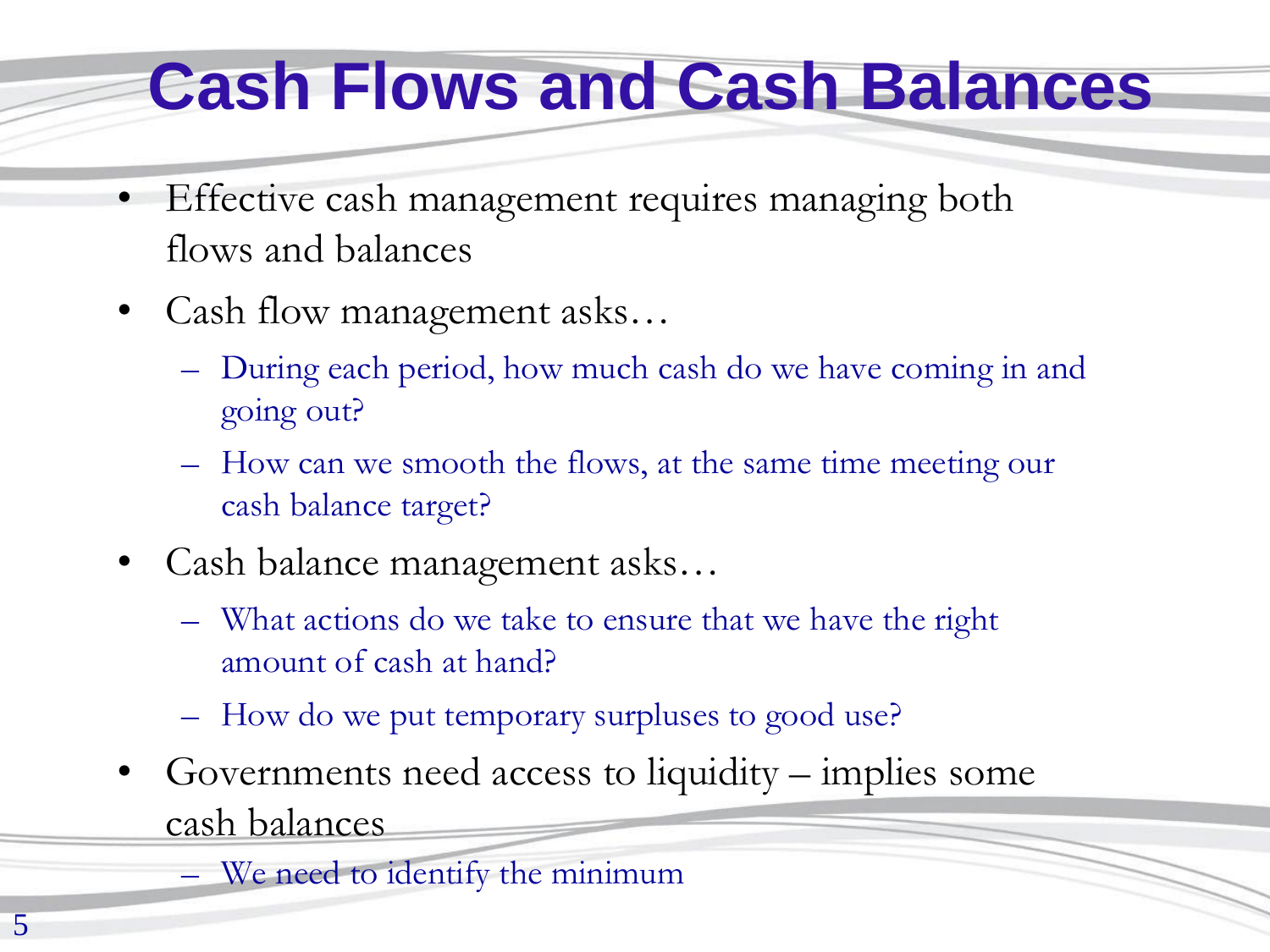## **Cash Flows and Cash Balances**

- Effective cash management requires managing both flows and balances
- Cash flow management asks...
	- During each period, how much cash do we have coming in and going out?
	- How can we smooth the flows, at the same time meeting our cash balance target?
- Cash balance management asks…
	- What actions do we take to ensure that we have the right amount of cash at hand?
	- How do we put temporary surpluses to good use?
- Governments need access to liquidity implies some cash balances
	- We need to identify the minimum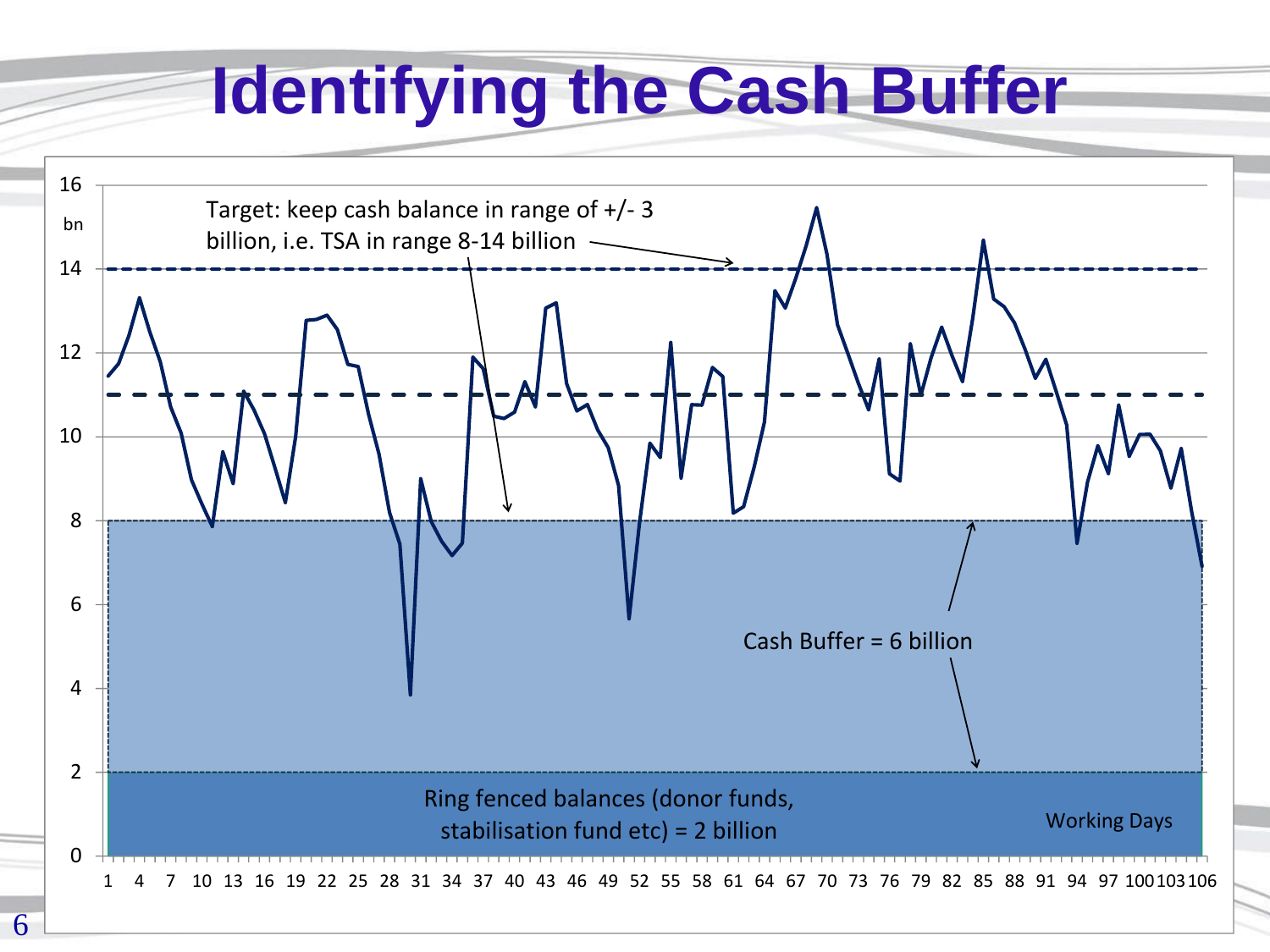## **Identifying the Cash Buffer**

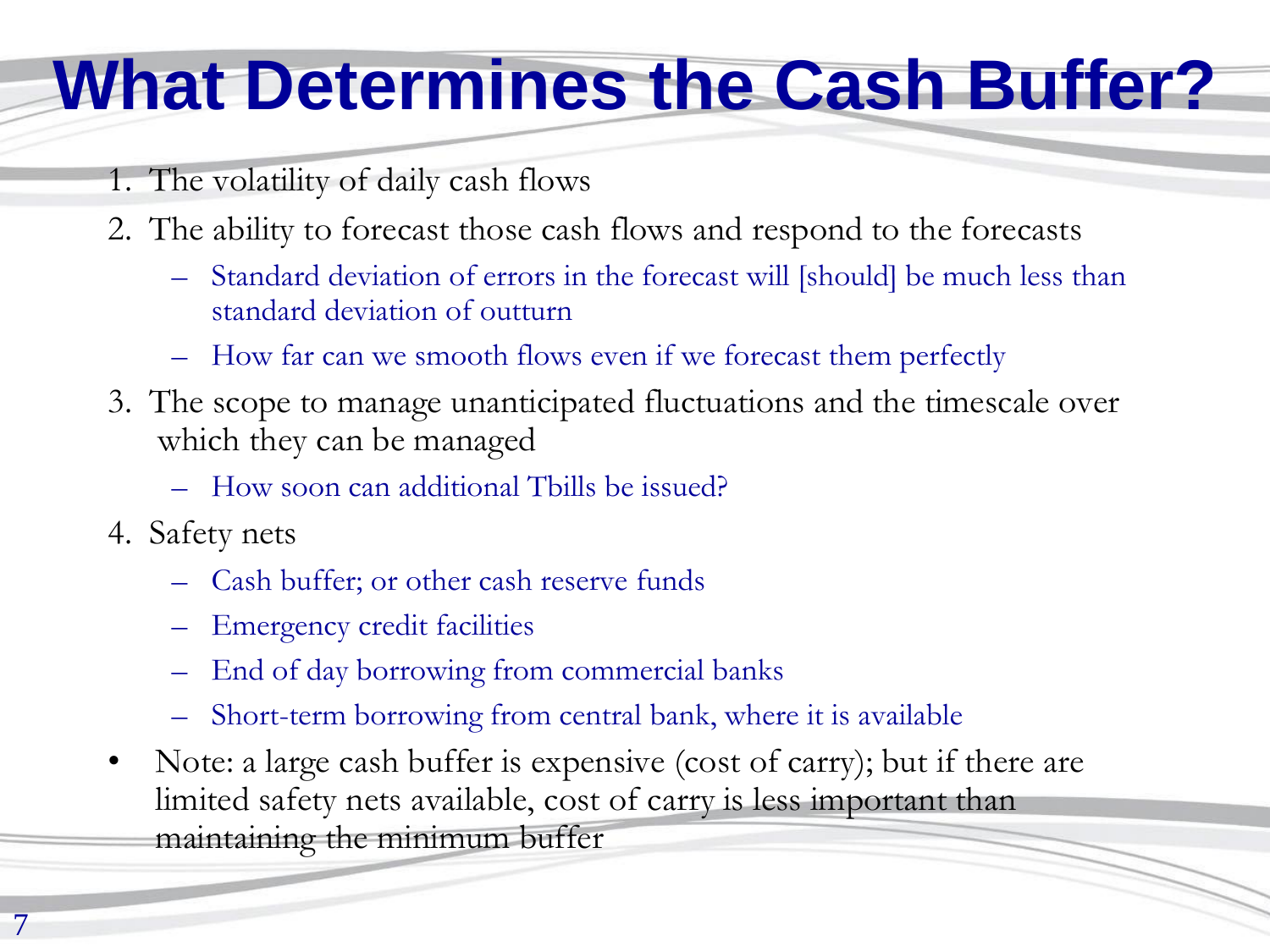## **What Determines the Cash Buffer?**

- 1. The volatility of daily cash flows
- 2. The ability to forecast those cash flows and respond to the forecasts
	- Standard deviation of errors in the forecast will [should] be much less than standard deviation of outturn
	- How far can we smooth flows even if we forecast them perfectly
- 3. The scope to manage unanticipated fluctuations and the timescale over which they can be managed
	- How soon can additional Tbills be issued?
- 4. Safety nets
	- Cash buffer; or other cash reserve funds
	- Emergency credit facilities
	- End of day borrowing from commercial banks
	- Short-term borrowing from central bank, where it is available
- Note: a large cash buffer is expensive (cost of carry); but if there are limited safety nets available, cost of carry is less important than maintaining the minimum buffer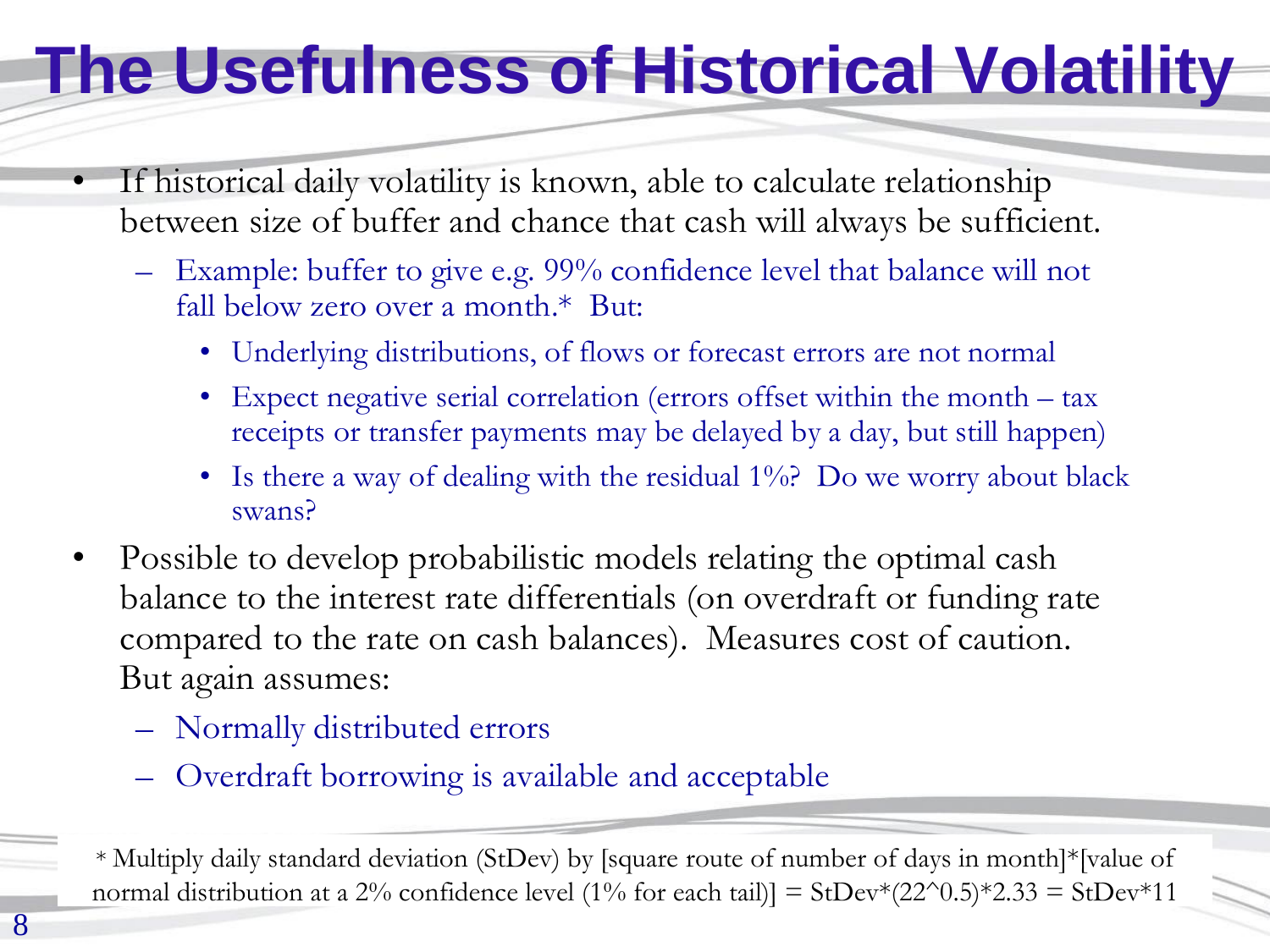### **The Usefulness of Historical Volatility**

- If historical daily volatility is known, able to calculate relationship between size of buffer and chance that cash will always be sufficient.
	- Example: buffer to give e.g. 99% confidence level that balance will not fall below zero over a month.\* But:
		- Underlying distributions, of flows or forecast errors are not normal
		- Expect negative serial correlation (errors offset within the month tax receipts or transfer payments may be delayed by a day, but still happen)
		- Is there a way of dealing with the residual 1%? Do we worry about black swans?
- Possible to develop probabilistic models relating the optimal cash balance to the interest rate differentials (on overdraft or funding rate compared to the rate on cash balances). Measures cost of caution. But again assumes:
	- Normally distributed errors
	- Overdraft borrowing is available and acceptable

<sup>\*</sup> Multiply daily standard deviation (StDev) by [square route of number of days in month]\*[value of normal distribution at a 2% confidence level (1% for each tail)] = StDev\*(22^0.5)\*2.33 = StDev\*11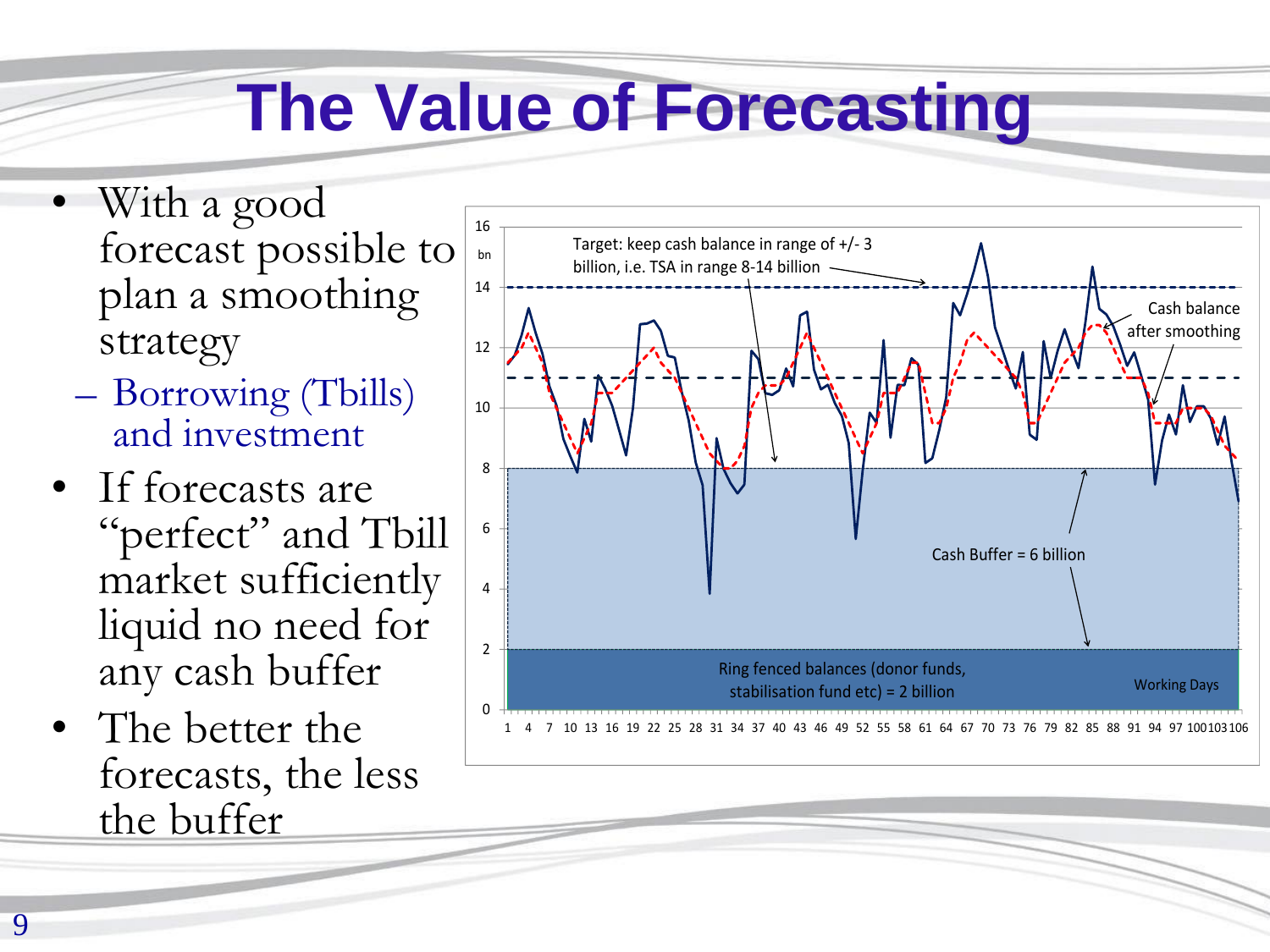## **The Value of Forecasting**

- With a good forecast possible to plan a smoothing strategy
	- Borrowing (Tbills) and investment
- If forecasts are "perfect" and Tbill market sufficiently liquid no need for any cash buffer
- The better the forecasts, the less the buffer

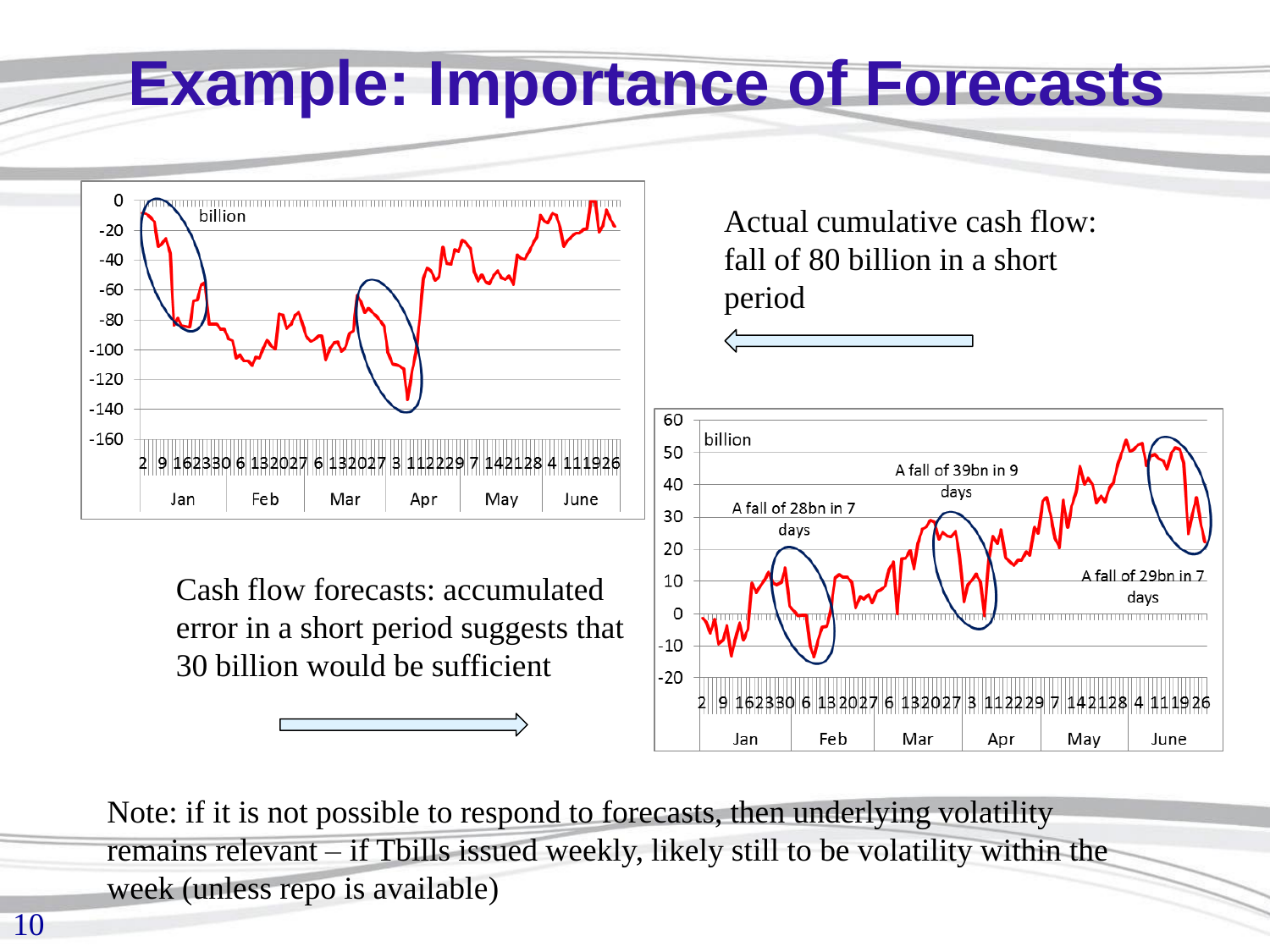#### **Example: Importance of Forecasts**



Cash flow forecasts: accumulated error in a short period suggests that 30 billion would be sufficient

Actual cumulative cash flow: fall of 80 billion in a short period 60 billion 50 A fall of 39bn in 9 40 davs A fall of 28bn in 7 30 days 20 A fall of 29bn in 7 10 davs  $\Omega$  $-10$  $-20$ 91623306 1320276132027 112229

Mar

Apr

May

June

Note: if it is not possible to respond to forecasts, then underlying volatility remains relevant – if Tbills issued weekly, likely still to be volatility within the week (unless repo is available)

Jan

Feb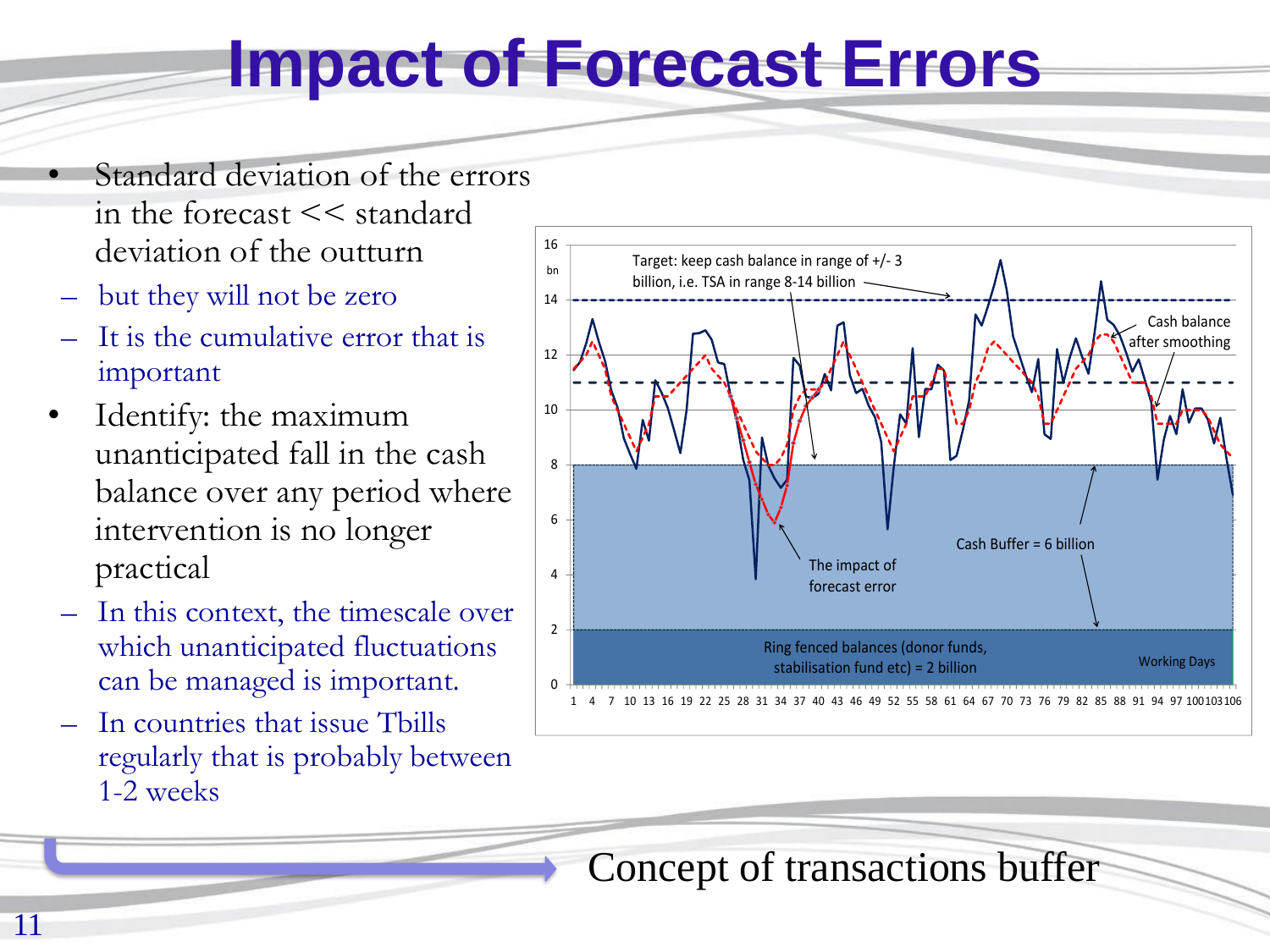#### **Impact of Forecast Errors**

- Standard deviation of the errors in the forecast << standard deviation of the outturn
- but they will not be zero
- It is the cumulative error that is important
- Identify: the maximum unanticipated fall in the cash balance over any period where intervention is no longer practical
- In this context, the timescale over which unanticipated fluctuations can be managed is important.
- In countries that issue Tbills regularly that is probably between 1-2 weeks



Concept of transactions buffer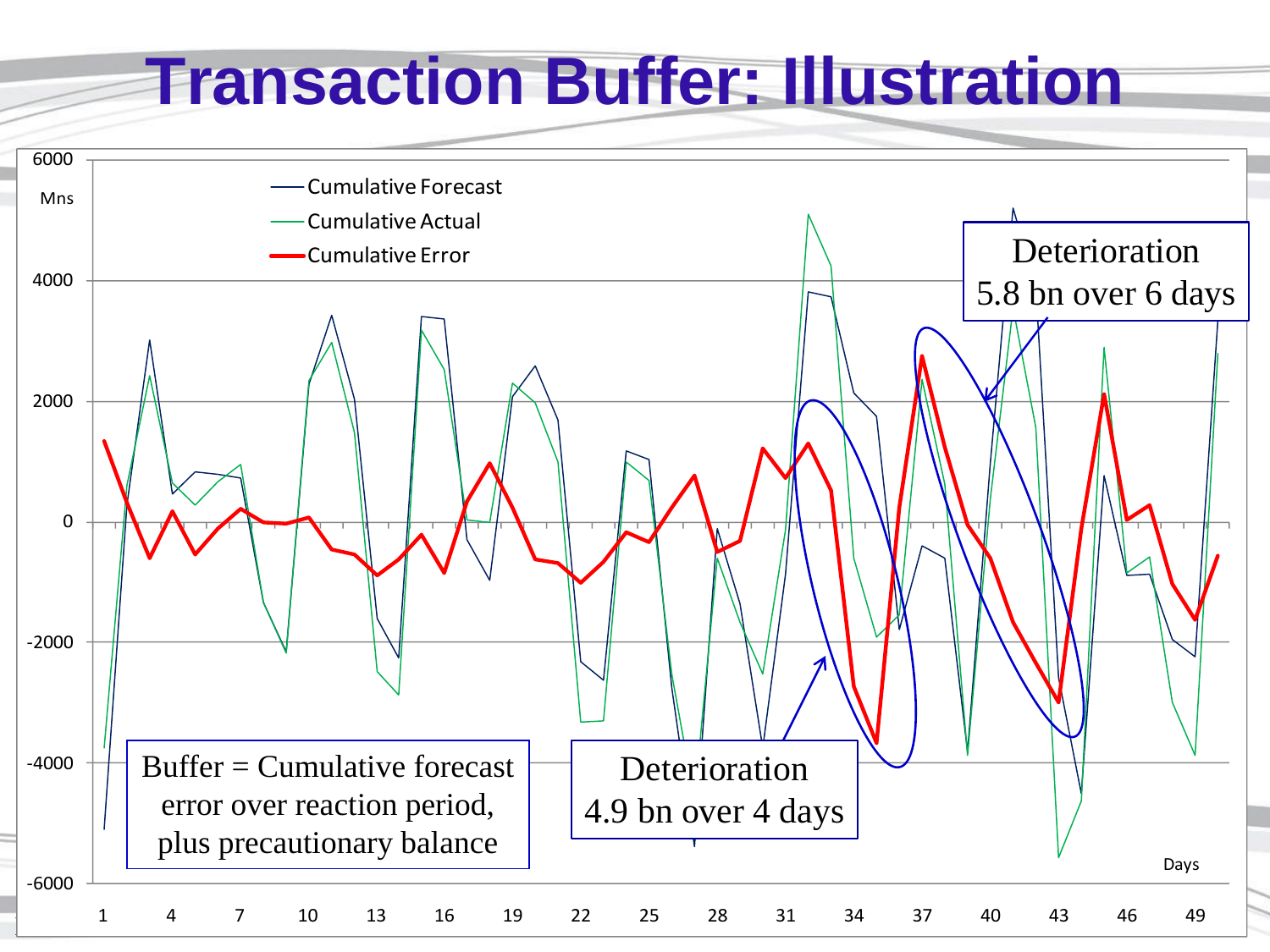#### **Transaction Buffer: Illustration**

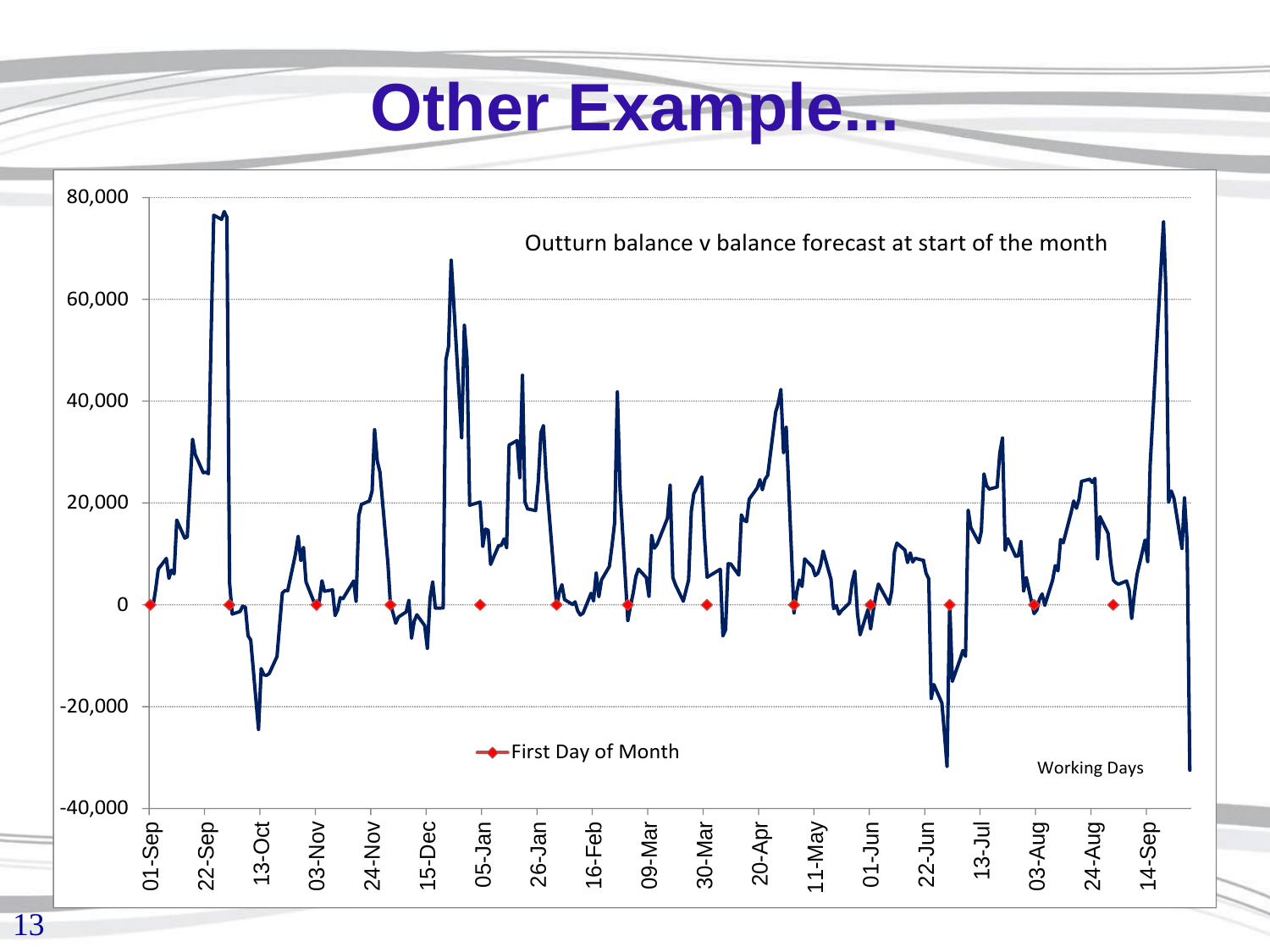#### **Other Example...**

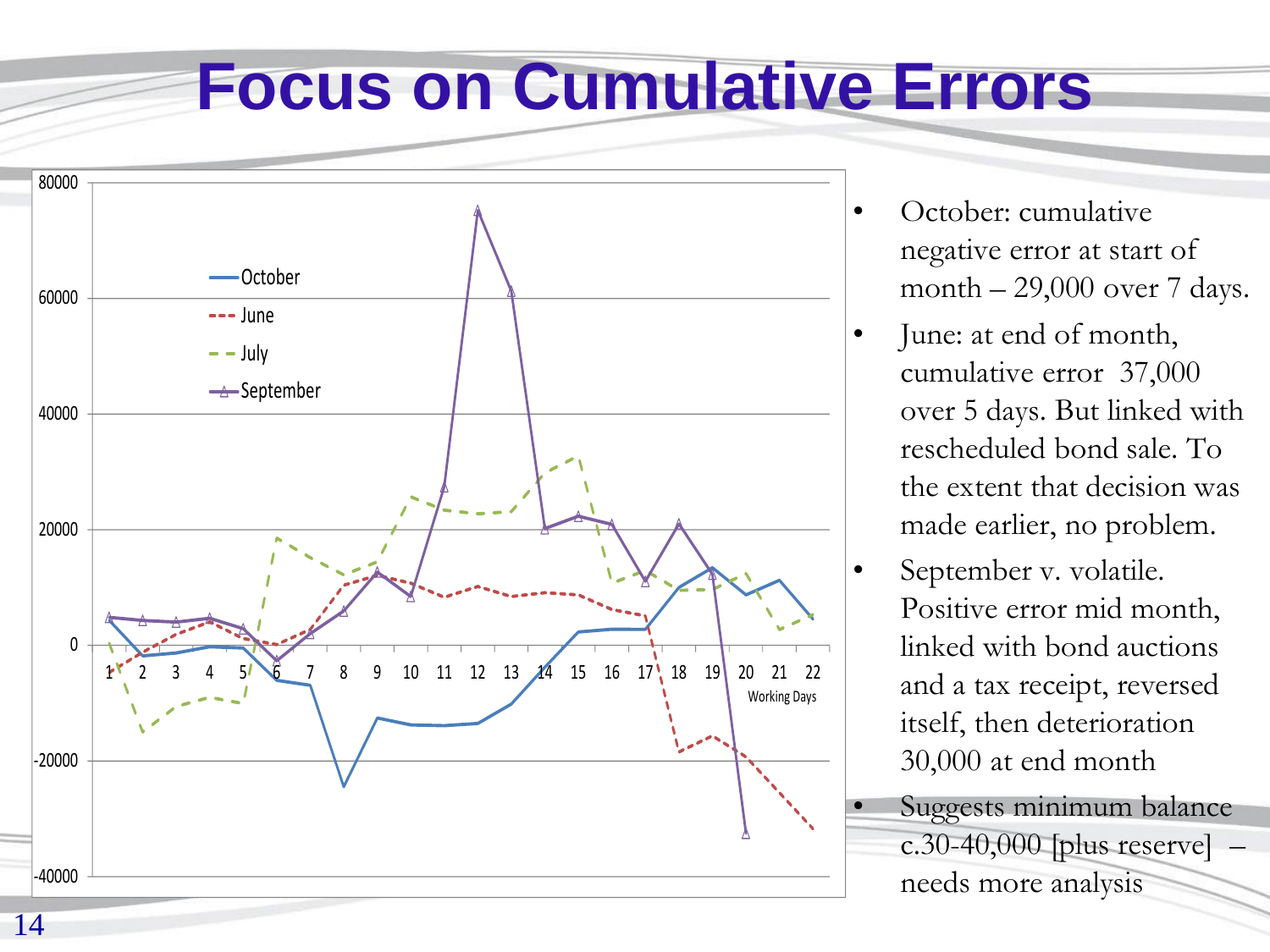#### **Focus on Cumulative Errors**



- October: cumulative negative error at start of month  $-29,000$  over 7 days.
- June: at end of month, cumulative error 37,000 over 5 days. But linked with rescheduled bond sale. To the extent that decision was made earlier, no problem.
	- September v. volatile. Positive error mid month, linked with bond auctions and a tax receipt, reversed itself, then deterioration 30,000 at end month
	- Suggests minimum balance  $c.30-40,000$  [plus reserve]  $$ needs more analysis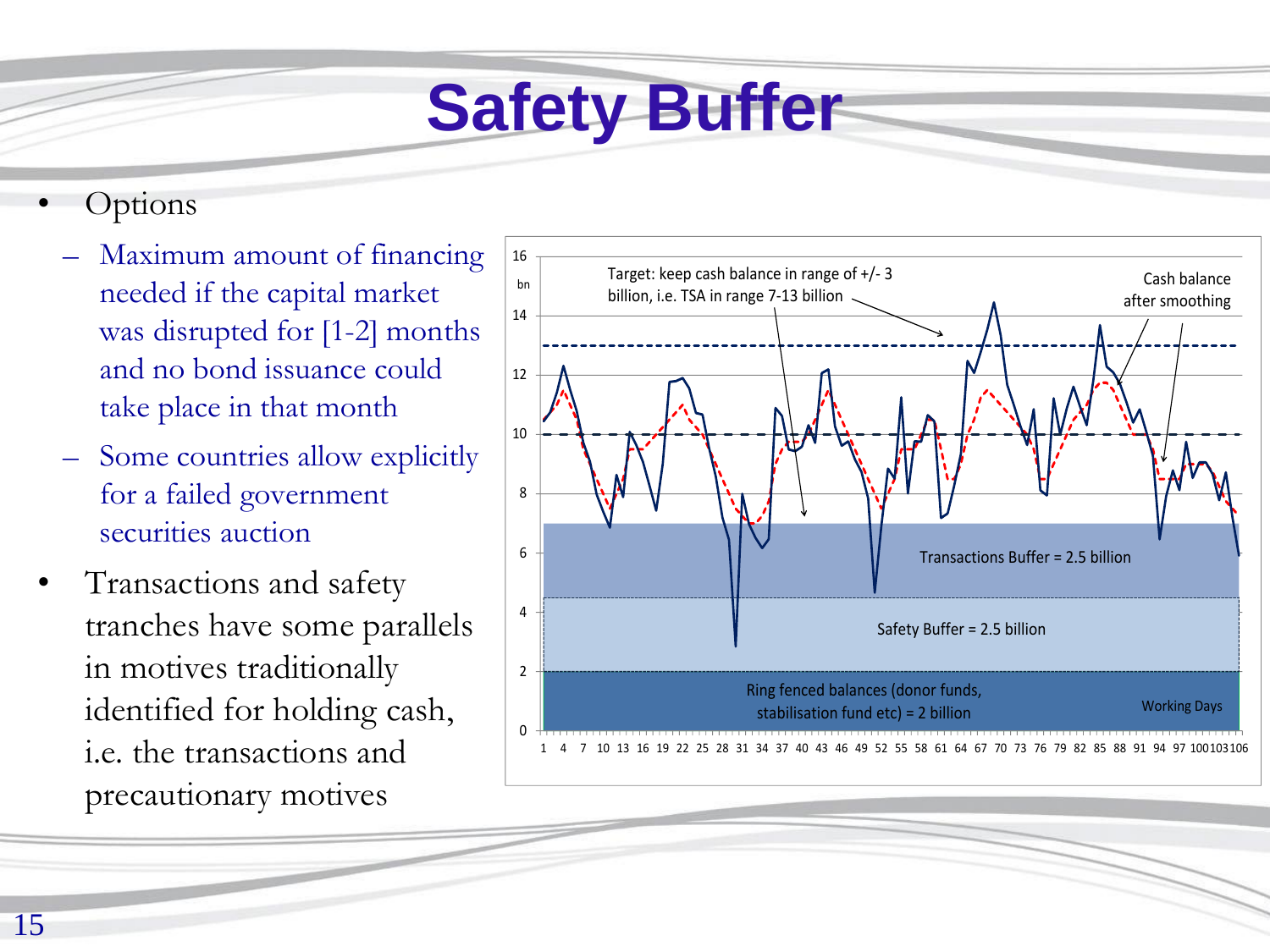## **Safety Buffer**

- **Options** 
	- Maximum amount of financing needed if the capital market was disrupted for [1-2] months and no bond issuance could take place in that month
	- Some countries allow explicitly for a failed government securities auction
- Transactions and safety tranches have some parallels in motives traditionally identified for holding cash, i.e. the transactions and precautionary motives

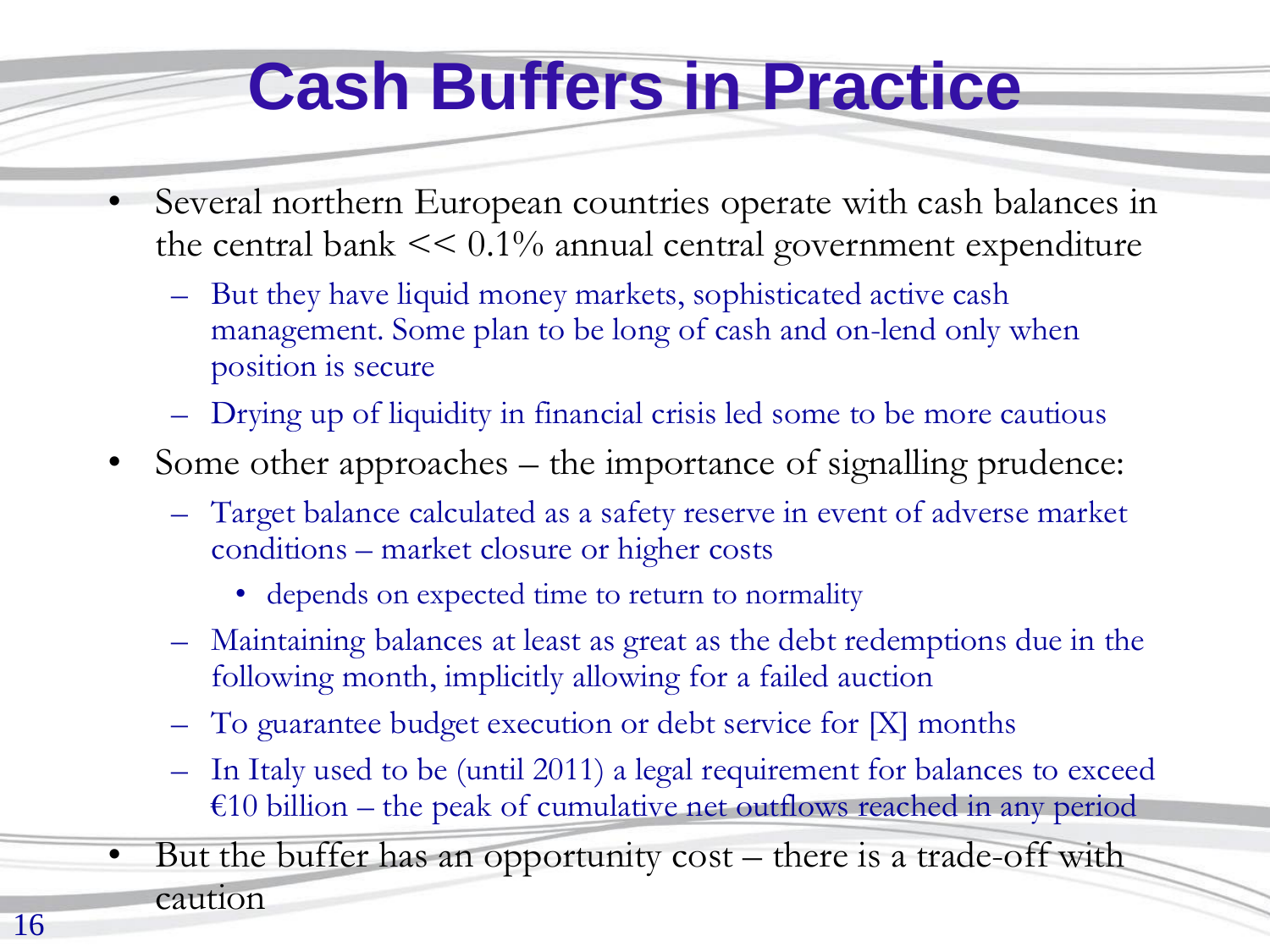### **Cash Buffers in Practice**

- Several northern European countries operate with cash balances in the central bank  $<< 0.1\%$  annual central government expenditure
	- But they have liquid money markets, sophisticated active cash management. Some plan to be long of cash and on-lend only when position is secure
	- Drying up of liquidity in financial crisis led some to be more cautious
- Some other approaches the importance of signalling prudence:
	- Target balance calculated as a safety reserve in event of adverse market conditions – market closure or higher costs
		- depends on expected time to return to normality
	- Maintaining balances at least as great as the debt redemptions due in the following month, implicitly allowing for a failed auction
	- To guarantee budget execution or debt service for [X] months
	- In Italy used to be (until 2011) a legal requirement for balances to exceed  $€10$  billion – the peak of cumulative net outflows reached in any period
- But the buffer has an opportunity cost there is a trade-off with caution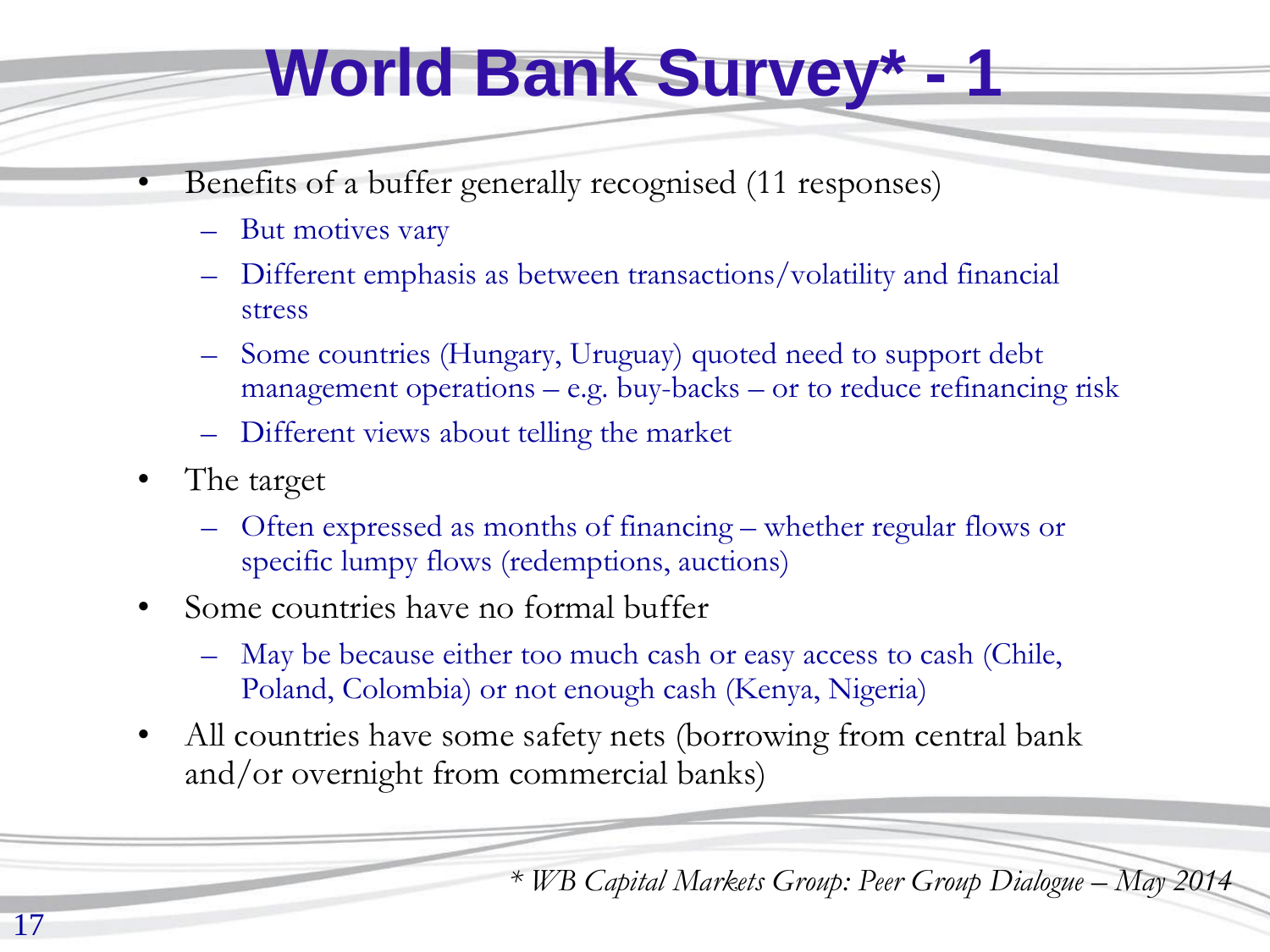## **World Bank Survey\* - 1**

- Benefits of a buffer generally recognised (11 responses)
	- But motives vary
	- Different emphasis as between transactions/volatility and financial stress
	- Some countries (Hungary, Uruguay) quoted need to support debt management operations – e.g. buy-backs – or to reduce refinancing risk
	- Different views about telling the market
- The target
	- Often expressed as months of financing whether regular flows or specific lumpy flows (redemptions, auctions)
- Some countries have no formal buffer
	- May be because either too much cash or easy access to cash (Chile, Poland, Colombia) or not enough cash (Kenya, Nigeria)
- All countries have some safety nets (borrowing from central bank and/or overnight from commercial banks)

*\* WB Capital Markets Group: Peer Group Dialogue – May 2014*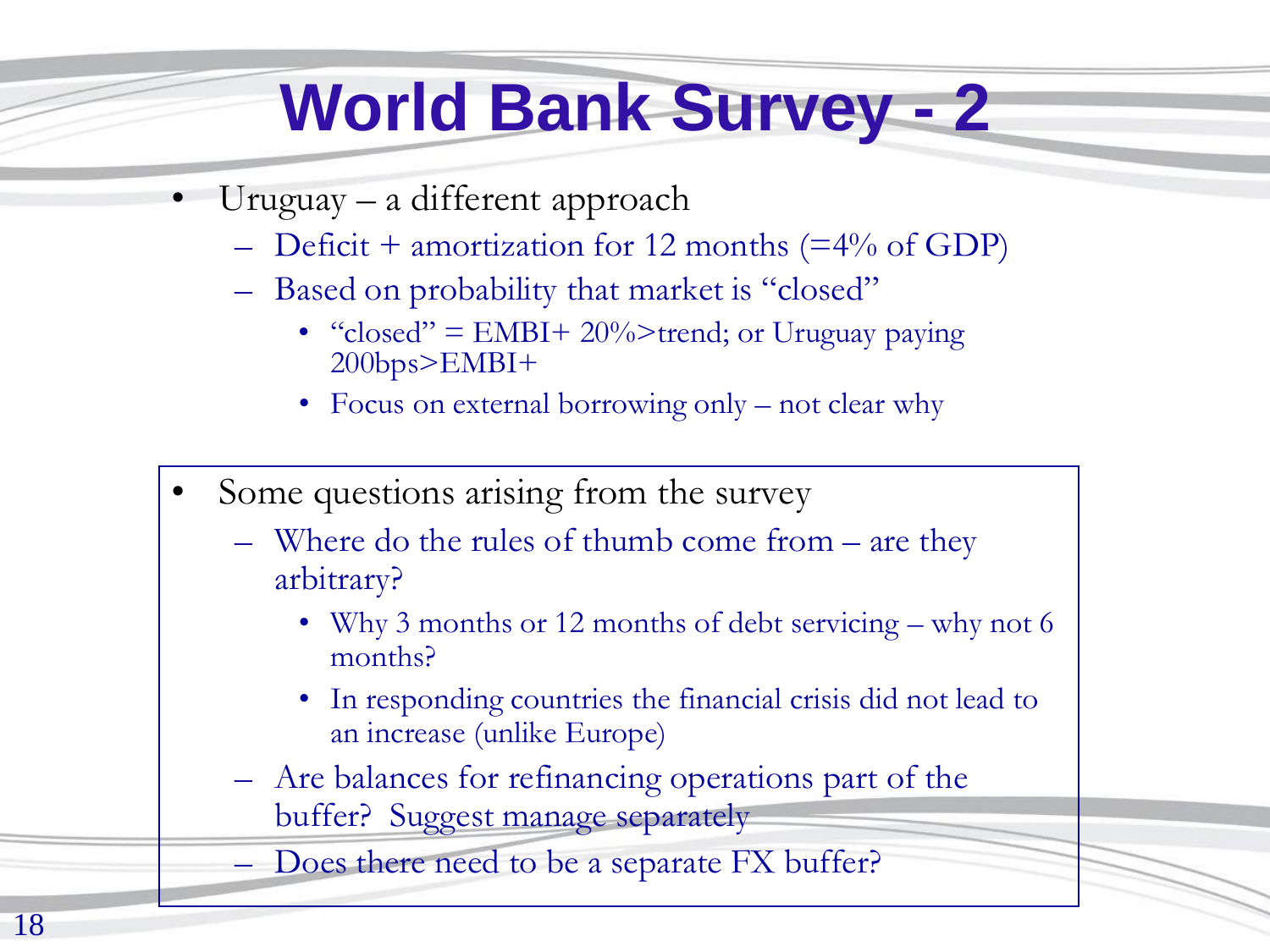## **World Bank Survey - 2**

- Uruguay a different approach
	- Deficit + amortization for 12 months (=4% of GDP)
	- Based on probability that market is "closed"
		- "closed" =  $EMBI + 20\%$ >trend; or Uruguay paying 200bps>EMBI+
		- Focus on external borrowing only not clear why
- Some questions arising from the survey
	- Where do the rules of thumb come from are they arbitrary?
		- Why 3 months or 12 months of debt servicing why not 6 months?
		- In responding countries the financial crisis did not lead to an increase (unlike Europe)
	- Are balances for refinancing operations part of the buffer? Suggest manage separately

Does there need to be a separate FX buffer?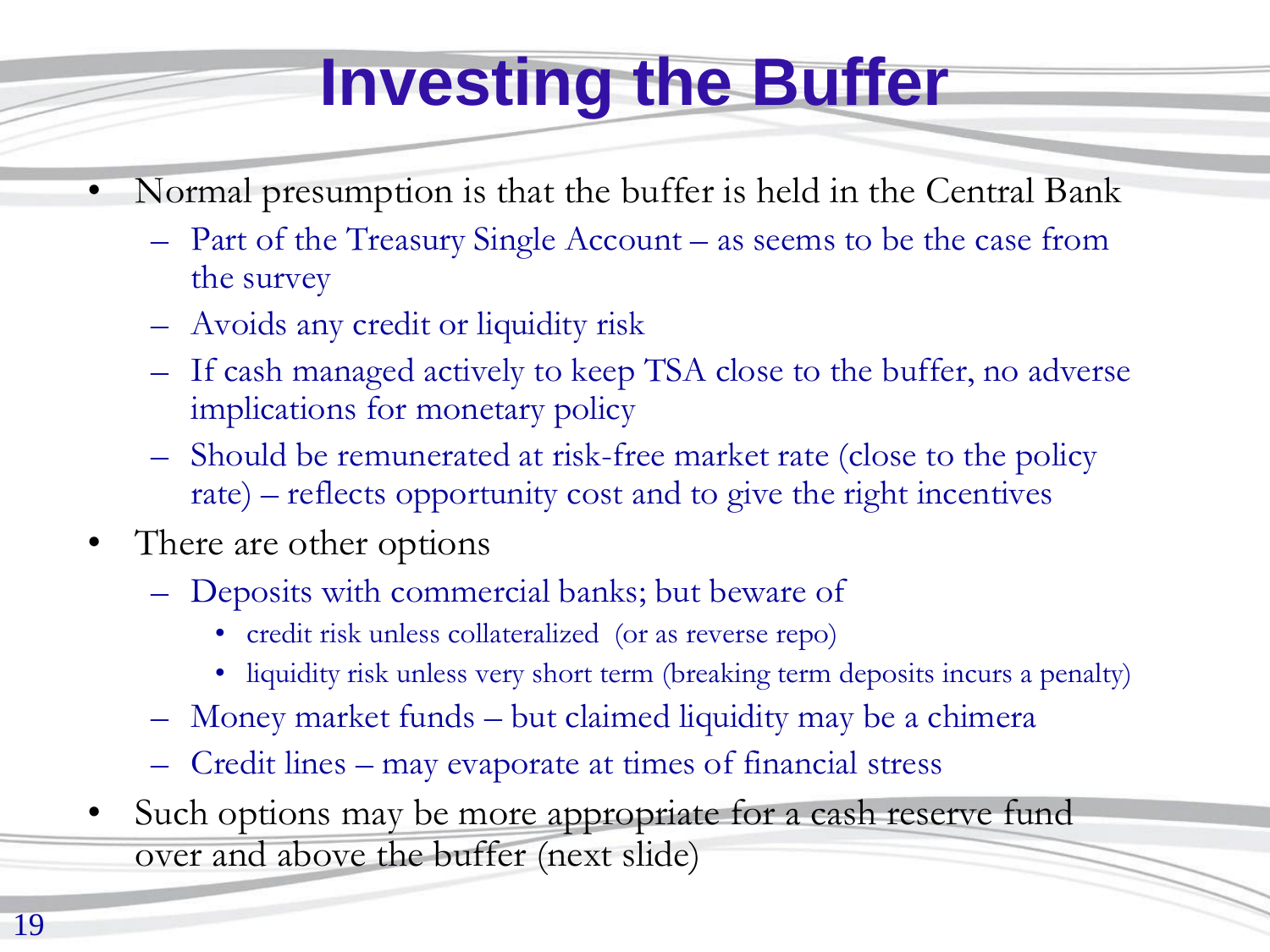## **Investing the Buffer**

- Normal presumption is that the buffer is held in the Central Bank
	- Part of the Treasury Single Account as seems to be the case from the survey
	- Avoids any credit or liquidity risk
	- If cash managed actively to keep TSA close to the buffer, no adverse implications for monetary policy
	- Should be remunerated at risk-free market rate (close to the policy rate) – reflects opportunity cost and to give the right incentives
- There are other options
	- Deposits with commercial banks; but beware of
		- credit risk unless collateralized (or as reverse repo)
		- liquidity risk unless very short term (breaking term deposits incurs a penalty)
	- Money market funds but claimed liquidity may be a chimera
	- Credit lines may evaporate at times of financial stress
- Such options may be more appropriate for a cash reserve fund over and above the buffer (next slide)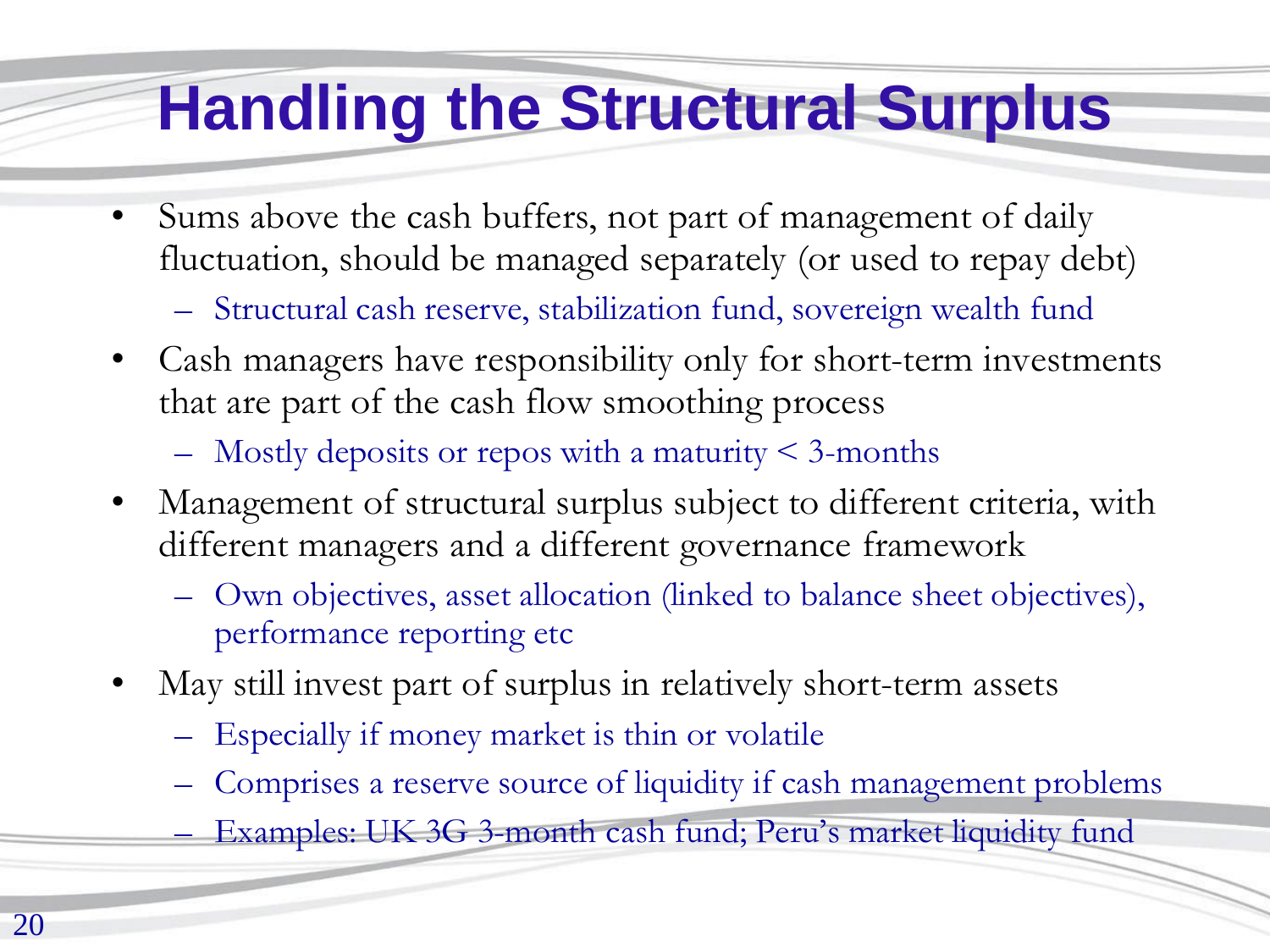#### **Handling the Structural Surplus**

- Sums above the cash buffers, not part of management of daily fluctuation, should be managed separately (or used to repay debt)
	- Structural cash reserve, stabilization fund, sovereign wealth fund
- Cash managers have responsibility only for short-term investments that are part of the cash flow smoothing process
	- $-$  Mostly deposits or repos with a maturity  $\leq$  3-months
- Management of structural surplus subject to different criteria, with different managers and a different governance framework
	- Own objectives, asset allocation (linked to balance sheet objectives), performance reporting etc
- May still invest part of surplus in relatively short-term assets
	- Especially if money market is thin or volatile
	- Comprises a reserve source of liquidity if cash management problems
	- Examples: UK 3G 3-month cash fund; Peru's market liquidity fund